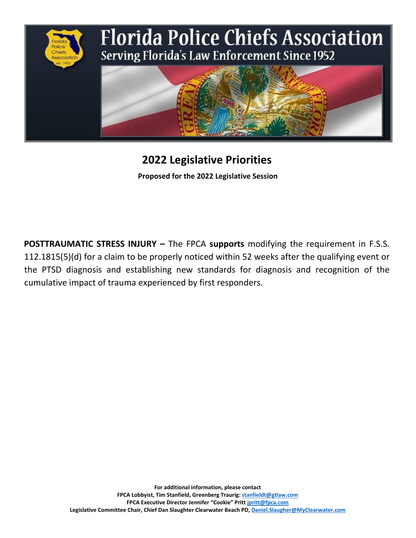

# **2022 Legislative Priorities**

**Proposed for the 2022 Legislative Session**

**POSTTRAUMATIC STRESS INJURY –** The FPCA **supports** modifying the requirement in F.S.S. 112.1815(5)(d) for a claim to be properly noticed within 52 weeks after the qualifying event or the PTSD diagnosis and establishing new standards for diagnosis and recognition of the cumulative impact of trauma experienced by first responders.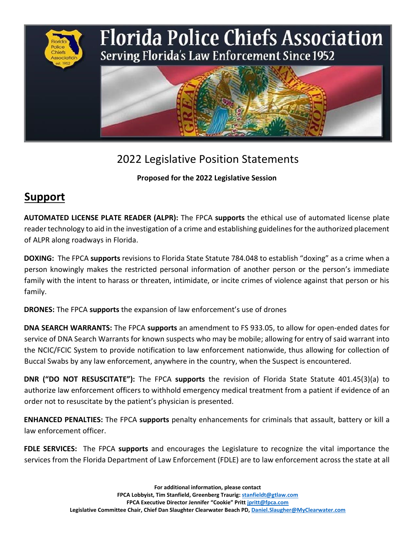

### 2022 Legislative Position Statements

#### **Proposed for the 2022 Legislative Session**

# **Support**

**AUTOMATED LICENSE PLATE READER (ALPR):** The FPCA **supports** the ethical use of automated license plate reader technology to aid in the investigation of a crime and establishing guidelines for the authorized placement of ALPR along roadways in Florida.

**DOXING:** The FPCA **supports** revisions to Florida State Statute 784.048 to establish "doxing" as a crime when a person knowingly makes the restricted personal information of another person or the person's immediate family with the intent to harass or threaten, intimidate, or incite crimes of violence against that person or his family.

**DRONES:** The FPCA **supports** the expansion of law enforcement's use of drones

**DNA SEARCH WARRANTS:** The FPCA **supports** an amendment to FS 933.05, to allow for open-ended dates for service of DNA Search Warrants for known suspects who may be mobile; allowing for entry of said warrant into the NCIC/FCIC System to provide notification to law enforcement nationwide, thus allowing for collection of Buccal Swabs by any law enforcement, anywhere in the country, when the Suspect is encountered.

**DNR ("DO NOT RESUSCITATE"):** The FPCA **supports** the revision of Florida State Statute 401.45(3)(a) to authorize law enforcement officers to withhold emergency medical treatment from a patient if evidence of an order not to resuscitate by the patient's physician is presented.

**ENHANCED PENALTIES:** The FPCA **supports** penalty enhancements for criminals that assault, battery or kill a law enforcement officer.

**FDLE SERVICES:** The FPCA **supports** and encourages the Legislature to recognize the vital importance the services from the Florida Department of Law Enforcement (FDLE) are to law enforcement across the state at all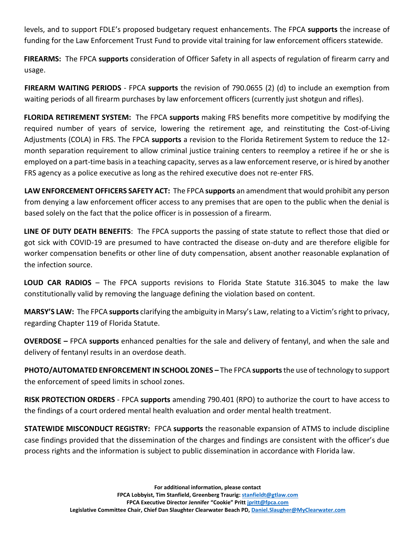levels, and to support FDLE's proposed budgetary request enhancements. The FPCA **supports** the increase of funding for the Law Enforcement Trust Fund to provide vital training for law enforcement officers statewide.

**FIREARMS:** The FPCA **supports** consideration of Officer Safety in all aspects of regulation of firearm carry and usage.

**FIREARM WAITING PERIODS** - FPCA **supports** the revision of 790.0655 (2) (d) to include an exemption from waiting periods of all firearm purchases by law enforcement officers (currently just shotgun and rifles).

**FLORIDA RETIREMENT SYSTEM:** The FPCA **supports** making FRS benefits more competitive by modifying the required number of years of service, lowering the retirement age, and reinstituting the Cost-of-Living Adjustments (COLA) in FRS. The FPCA **supports** a revision to the Florida Retirement System to reduce the 12 month separation requirement to allow criminal justice training centers to reemploy a retiree if he or she is employed on a part-time basis in a teaching capacity, serves as a law enforcement reserve, or is hired by another FRS agency as a police executive as long as the rehired executive does not re-enter FRS.

**LAW ENFORCEMENT OFFICERS SAFETY ACT:** The FPCA **supports** an amendment that would prohibit any person from denying a law enforcement officer access to any premises that are open to the public when the denial is based solely on the fact that the police officer is in possession of a firearm.

**LINE OF DUTY DEATH BENEFITS**: The FPCA supports the passing of state statute to reflect those that died or got sick with COVID-19 are presumed to have contracted the disease on-duty and are therefore eligible for worker compensation benefits or other line of duty compensation, absent another reasonable explanation of the infection source.

**LOUD CAR RADIOS** – The FPCA supports revisions to Florida State Statute 316.3045 to make the law constitutionally valid by removing the language defining the violation based on content.

**MARSY'S LAW:** The FPCA **supports** clarifying the ambiguity in Marsy's Law, relating to a Victim's right to privacy, regarding Chapter 119 of Florida Statute.

**OVERDOSE –** FPCA **supports** enhanced penalties for the sale and delivery of fentanyl, and when the sale and delivery of fentanyl results in an overdose death.

**PHOTO/AUTOMATED ENFORCEMENT IN SCHOOL ZONES –** The FPCA **supports** the use of technology to support the enforcement of speed limits in school zones.

**RISK PROTECTION ORDERS** - FPCA **supports** amending 790.401 (RPO) to authorize the court to have access to the findings of a court ordered mental health evaluation and order mental health treatment.

**STATEWIDE MISCONDUCT REGISTRY:** FPCA **supports** the reasonable expansion of ATMS to include discipline case findings provided that the dissemination of the charges and findings are consistent with the officer's due process rights and the information is subject to public dissemination in accordance with Florida law.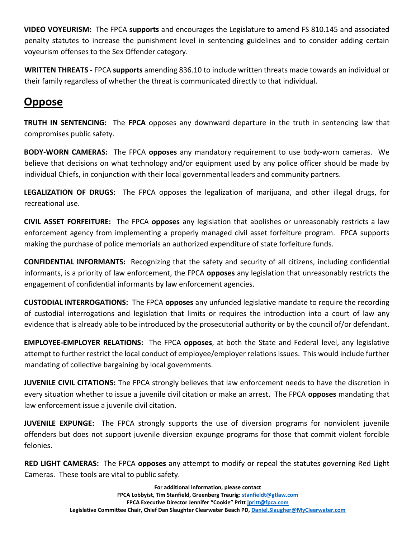**VIDEO VOYEURISM:** The FPCA **supports** and encourages the Legislature to amend FS 810.145 and associated penalty statutes to increase the punishment level in sentencing guidelines and to consider adding certain voyeurism offenses to the Sex Offender category.

**WRITTEN THREATS** - FPCA **supports** amending 836.10 to include written threats made towards an individual or their family regardless of whether the threat is communicated directly to that individual.

#### **Oppose**

**TRUTH IN SENTENCING:** The **FPCA** opposes any downward departure in the truth in sentencing law that compromises public safety.

**BODY-WORN CAMERAS:** The FPCA **opposes** any mandatory requirement to use body-worn cameras. We believe that decisions on what technology and/or equipment used by any police officer should be made by individual Chiefs, in conjunction with their local governmental leaders and community partners.

**LEGALIZATION OF DRUGS:** The FPCA opposes the legalization of marijuana, and other illegal drugs, for recreational use.

**CIVIL ASSET FORFEITURE:** The FPCA **opposes** any legislation that abolishes or unreasonably restricts a law enforcement agency from implementing a properly managed civil asset forfeiture program. FPCA supports making the purchase of police memorials an authorized expenditure of state forfeiture funds.

**CONFIDENTIAL INFORMANTS:** Recognizing that the safety and security of all citizens, including confidential informants, is a priority of law enforcement, the FPCA **opposes** any legislation that unreasonably restricts the engagement of confidential informants by law enforcement agencies.

**CUSTODIAL INTERROGATIONS:** The FPCA **opposes** any unfunded legislative mandate to require the recording of custodial interrogations and legislation that limits or requires the introduction into a court of law any evidence that is already able to be introduced by the prosecutorial authority or by the council of/or defendant.

**EMPLOYEE-EMPLOYER RELATIONS:** The FPCA **opposes**, at both the State and Federal level, any legislative attempt to further restrict the local conduct of employee/employer relations issues. This would include further mandating of collective bargaining by local governments.

**JUVENILE CIVIL CITATIONS:** The FPCA strongly believes that law enforcement needs to have the discretion in every situation whether to issue a juvenile civil citation or make an arrest. The FPCA **opposes** mandating that law enforcement issue a juvenile civil citation.

**JUVENILE EXPUNGE:** The FPCA strongly supports the use of diversion programs for nonviolent juvenile offenders but does not support juvenile diversion expunge programs for those that commit violent forcible felonies.

**RED LIGHT CAMERAS:** The FPCA **opposes** any attempt to modify or repeal the statutes governing Red Light Cameras. These tools are vital to public safety.